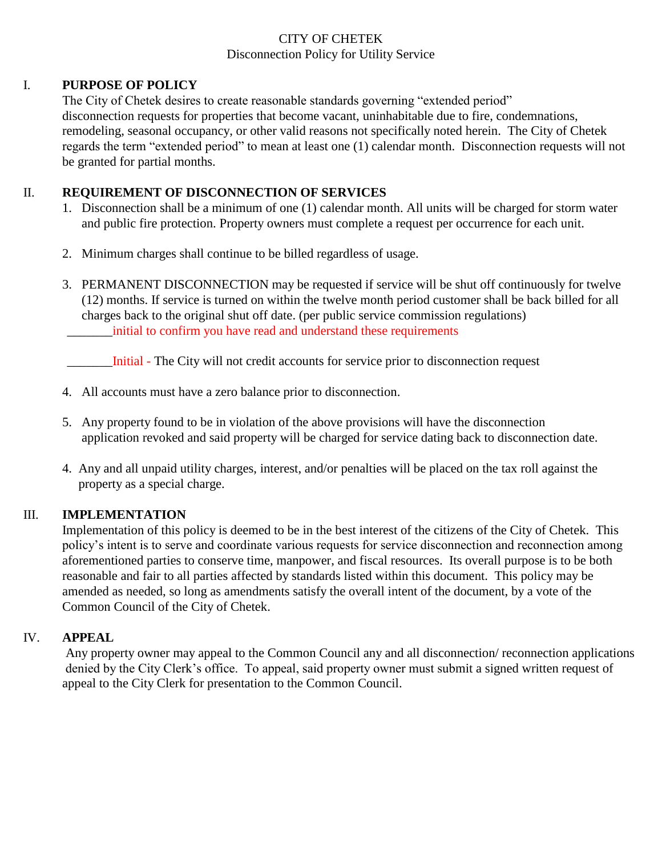## CITY OF CHETEK Disconnection Policy for Utility Service

### I. **PURPOSE OF POLICY**

The City of Chetek desires to create reasonable standards governing "extended period" disconnection requests for properties that become vacant, uninhabitable due to fire, condemnations, remodeling, seasonal occupancy, or other valid reasons not specifically noted herein. The City of Chetek regards the term "extended period" to mean at least one (1) calendar month. Disconnection requests will not be granted for partial months.

### II. **REQUIREMENT OF DISCONNECTION OF SERVICES**

- 1. Disconnection shall be a minimum of one (1) calendar month. All units will be charged for storm water and public fire protection. Property owners must complete a request per occurrence for each unit.
- 2. Minimum charges shall continue to be billed regardless of usage.
- 3. PERMANENT DISCONNECTION may be requested if service will be shut off continuously for twelve (12) months. If service is turned on within the twelve month period customer shall be back billed for all charges back to the original shut off date. (per public service commission regulations) \_\_\_\_\_\_\_initial to confirm you have read and understand these requirements

\_\_\_\_\_\_\_Initial - The City will not credit accounts for service prior to disconnection request

- 4. All accounts must have a zero balance prior to disconnection.
- 5. Any property found to be in violation of the above provisions will have the disconnection application revoked and said property will be charged for service dating back to disconnection date.
- 4. Any and all unpaid utility charges, interest, and/or penalties will be placed on the tax roll against the property as a special charge.

# III. **IMPLEMENTATION**

Implementation of this policy is deemed to be in the best interest of the citizens of the City of Chetek. This policy's intent is to serve and coordinate various requests for service disconnection and reconnection among aforementioned parties to conserve time, manpower, and fiscal resources. Its overall purpose is to be both reasonable and fair to all parties affected by standards listed within this document. This policy may be amended as needed, so long as amendments satisfy the overall intent of the document, by a vote of the Common Council of the City of Chetek.

# IV. **APPEAL**

Any property owner may appeal to the Common Council any and all disconnection/ reconnection applications denied by the City Clerk's office. To appeal, said property owner must submit a signed written request of appeal to the City Clerk for presentation to the Common Council.